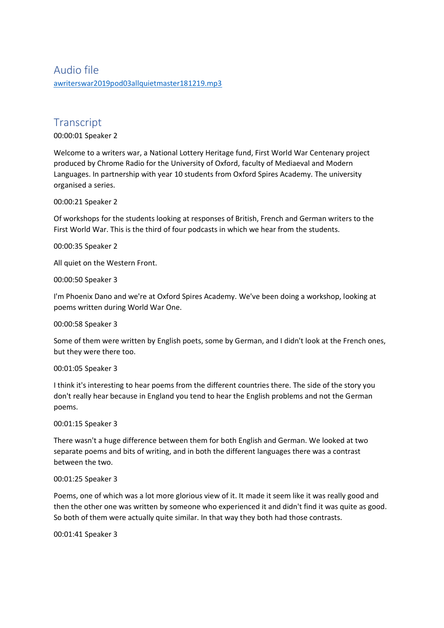## Audio file [awriterswar2019pod03allquietmaster181219.mp3](https://unioxfordnexus-my.sharepoint.com/personal/etrc0002_ox_ac_uk/Documents/Transcribed%20Files/awriterswar2019pod03allquietmaster181219.mp3)

# **Transcript**

00:00:01 Speaker 2

Welcome to a writers war, a National Lottery Heritage fund, First World War Centenary project produced by Chrome Radio for the University of Oxford, faculty of Mediaeval and Modern Languages. In partnership with year 10 students from Oxford Spires Academy. The university organised a series.

00:00:21 Speaker 2

Of workshops for the students looking at responses of British, French and German writers to the First World War. This is the third of four podcasts in which we hear from the students.

00:00:35 Speaker 2

All quiet on the Western Front.

00:00:50 Speaker 3

I'm Phoenix Dano and we're at Oxford Spires Academy. We've been doing a workshop, looking at poems written during World War One.

00:00:58 Speaker 3

Some of them were written by English poets, some by German, and I didn't look at the French ones, but they were there too.

00:01:05 Speaker 3

I think it's interesting to hear poems from the different countries there. The side of the story you don't really hear because in England you tend to hear the English problems and not the German poems.

00:01:15 Speaker 3

There wasn't a huge difference between them for both English and German. We looked at two separate poems and bits of writing, and in both the different languages there was a contrast between the two.

## 00:01:25 Speaker 3

Poems, one of which was a lot more glorious view of it. It made it seem like it was really good and then the other one was written by someone who experienced it and didn't find it was quite as good. So both of them were actually quite similar. In that way they both had those contrasts.

00:01:41 Speaker 3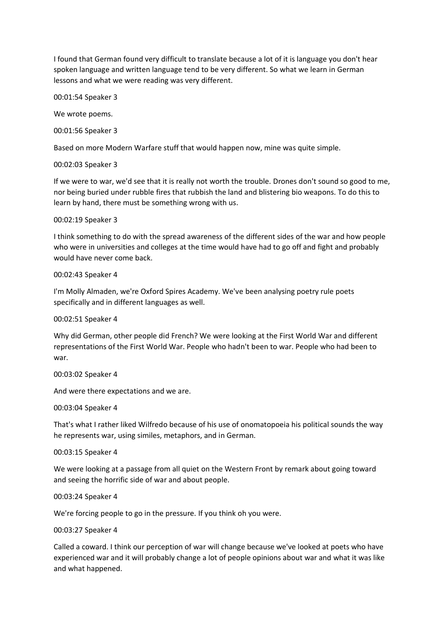I found that German found very difficult to translate because a lot of it is language you don't hear spoken language and written language tend to be very different. So what we learn in German lessons and what we were reading was very different.

00:01:54 Speaker 3

We wrote poems.

00:01:56 Speaker 3

Based on more Modern Warfare stuff that would happen now, mine was quite simple.

### 00:02:03 Speaker 3

If we were to war, we'd see that it is really not worth the trouble. Drones don't sound so good to me, nor being buried under rubble fires that rubbish the land and blistering bio weapons. To do this to learn by hand, there must be something wrong with us.

## 00:02:19 Speaker 3

I think something to do with the spread awareness of the different sides of the war and how people who were in universities and colleges at the time would have had to go off and fight and probably would have never come back.

#### 00:02:43 Speaker 4

I'm Molly Almaden, we're Oxford Spires Academy. We've been analysing poetry rule poets specifically and in different languages as well.

#### 00:02:51 Speaker 4

Why did German, other people did French? We were looking at the First World War and different representations of the First World War. People who hadn't been to war. People who had been to war.

#### 00:03:02 Speaker 4

And were there expectations and we are.

#### 00:03:04 Speaker 4

That's what I rather liked Wilfredo because of his use of onomatopoeia his political sounds the way he represents war, using similes, metaphors, and in German.

#### 00:03:15 Speaker 4

We were looking at a passage from all quiet on the Western Front by remark about going toward and seeing the horrific side of war and about people.

#### 00:03:24 Speaker 4

We're forcing people to go in the pressure. If you think oh you were.

#### 00:03:27 Speaker 4

Called a coward. I think our perception of war will change because we've looked at poets who have experienced war and it will probably change a lot of people opinions about war and what it was like and what happened.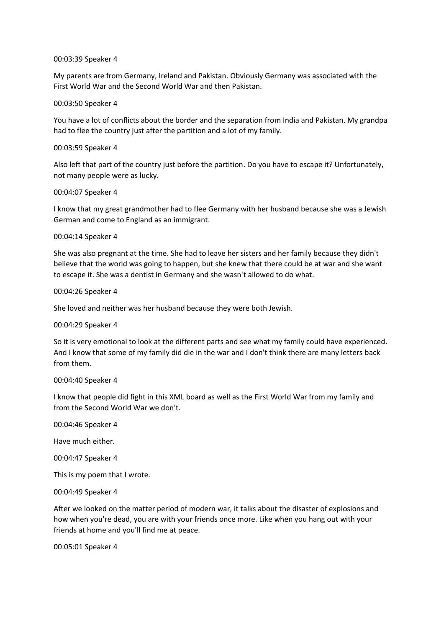#### 00:03:39 Speaker 4

My parents are from Germany, Ireland and Pakistan. Obviously Germany was associated with the First World War and the Second World War and then Pakistan.

#### 00:03:50 Speaker 4

You have a lot of conflicts about the border and the separation from India and Pakistan. My grandpa had to flee the country just after the partition and a lot of my family.

#### 00:03:59 Speaker 4

Also left that part of the country just before the partition. Do you have to escape it? Unfortunately, not many people were as lucky.

#### 00:04:07 Speaker 4

I know that my great grandmother had to flee Germany with her husband because she was a Jewish German and come to England as an immigrant.

#### 00:04:14 Speaker 4

She was also pregnant at the time. She had to leave her sisters and her family because they didn't believe that the world was going to happen, but she knew that there could be at war and she want to escape it. She was a dentist in Germany and she wasn't allowed to do what.

#### 00:04:26 Speaker 4

She loved and neither was her husband because they were both Jewish.

#### 00:04:29 Speaker 4

So it is very emotional to look at the different parts and see what my family could have experienced. And I know that some of my family did die in the war and I don't think there are many letters back from them.

#### 00:04:40 Speaker 4

I know that people did fight in this XML board as well as the First World War from my family and from the Second World War we don't.

00:04:46 Speaker 4

Have much either.

00:04:47 Speaker 4

This is my poem that I wrote.

00:04:49 Speaker 4

After we looked on the matter period of modern war, it talks about the disaster of explosions and how when you're dead, you are with your friends once more. Like when you hang out with your friends at home and you'll find me at peace.

00:05:01 Speaker 4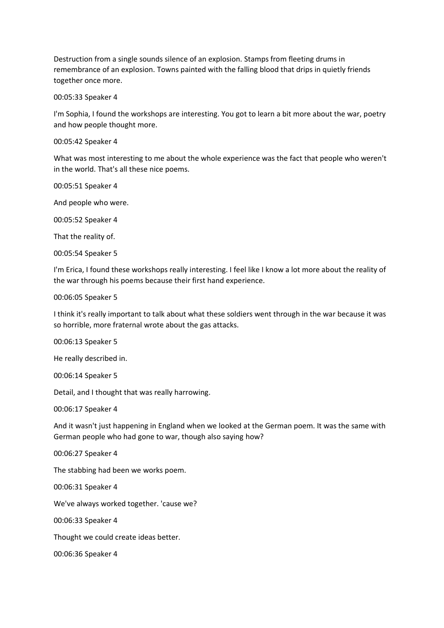Destruction from a single sounds silence of an explosion. Stamps from fleeting drums in remembrance of an explosion. Towns painted with the falling blood that drips in quietly friends together once more.

00:05:33 Speaker 4

I'm Sophia, I found the workshops are interesting. You got to learn a bit more about the war, poetry and how people thought more.

00:05:42 Speaker 4

What was most interesting to me about the whole experience was the fact that people who weren't in the world. That's all these nice poems.

00:05:51 Speaker 4

And people who were.

00:05:52 Speaker 4

That the reality of.

00:05:54 Speaker 5

I'm Erica, I found these workshops really interesting. I feel like I know a lot more about the reality of the war through his poems because their first hand experience.

00:06:05 Speaker 5

I think it's really important to talk about what these soldiers went through in the war because it was so horrible, more fraternal wrote about the gas attacks.

00:06:13 Speaker 5

He really described in.

00:06:14 Speaker 5

Detail, and I thought that was really harrowing.

00:06:17 Speaker 4

And it wasn't just happening in England when we looked at the German poem. It was the same with German people who had gone to war, though also saying how?

00:06:27 Speaker 4

The stabbing had been we works poem.

00:06:31 Speaker 4

We've always worked together. 'cause we?

00:06:33 Speaker 4

Thought we could create ideas better.

00:06:36 Speaker 4